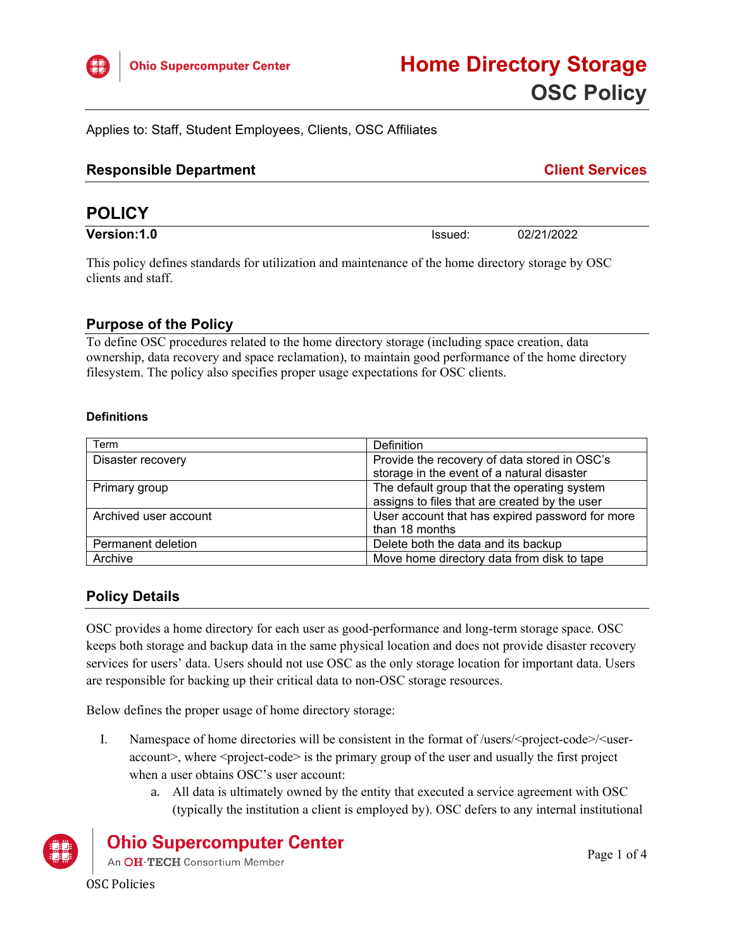

Applies to: Staff, Student Employees, Clients, OSC Affiliates

| <b>Responsible Department</b> | <b>Client Services</b> |
|-------------------------------|------------------------|
|                               |                        |

# **POLICY**

**Version:1.0 ISSUED:** 02/21/2022

This policy defines standards for utilization and maintenance of the home directory storage by OSC clients and staff.

## **Purpose of the Policy**

To define OSC procedures related to the home directory storage (including space creation, data ownership, data recovery and space reclamation), to maintain good performance of the home directory filesystem. The policy also specifies proper usage expectations for OSC clients.

#### **Definitions**

| Term                  | Definition                                      |  |
|-----------------------|-------------------------------------------------|--|
| Disaster recovery     | Provide the recovery of data stored in OSC's    |  |
|                       | storage in the event of a natural disaster      |  |
| Primary group         | The default group that the operating system     |  |
|                       | assigns to files that are created by the user   |  |
| Archived user account | User account that has expired password for more |  |
|                       | than 18 months                                  |  |
| Permanent deletion    | Delete both the data and its backup             |  |
| Archive               | Move home directory data from disk to tape      |  |

# **Policy Details**

OSC provides a home directory for each user as good-performance and long-term storage space. OSC keeps both storage and backup data in the same physical location and does not provide disaster recovery services for users' data. Users should not use OSC as the only storage location for important data. Users are responsible for backing up their critical data to non-OSC storage resources.

Below defines the proper usage of home directory storage:

- I. Namespace of home directories will be consistent in the format of /users/<project-code>/<useraccount>, where <project-code> is the primary group of the user and usually the first project when a user obtains OSC's user account:
	- a. All data is ultimately owned by the entity that executed a service agreement with OSC (typically the institution a client is employed by). OSC defers to any internal institutional



# **Ohio Supercomputer Center**

An OH·TECH Consortium Member

OSC Policies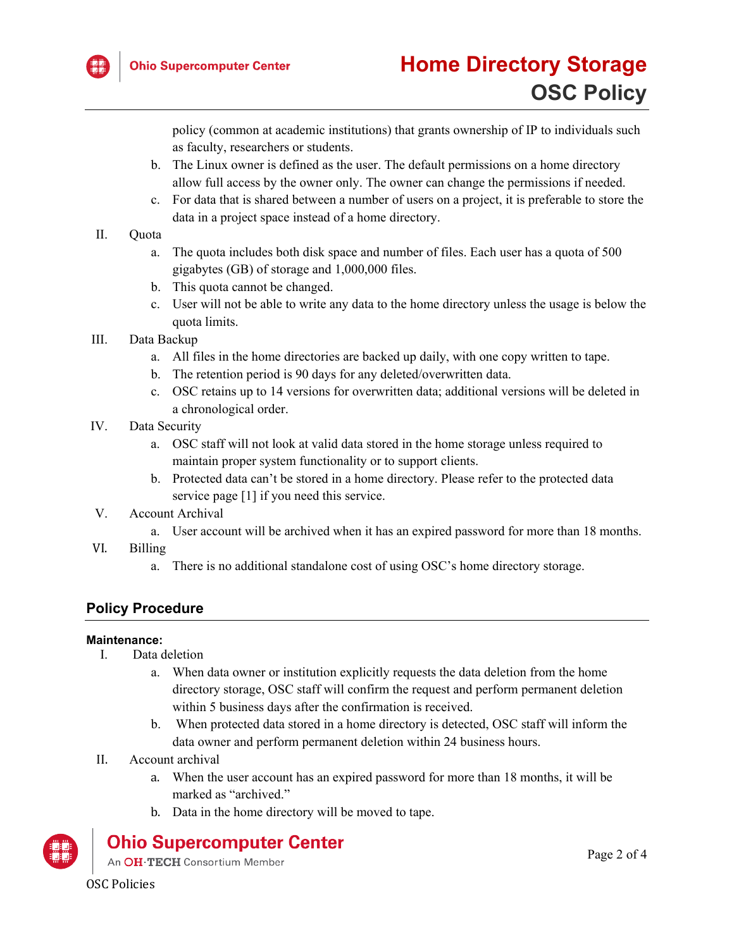

policy (common at academic institutions) that grants ownership of IP to individuals such as faculty, researchers or students.

- b. The Linux owner is defined as the user. The default permissions on a home directory allow full access by the owner only. The owner can change the permissions if needed.
- c. For data that is shared between a number of users on a project, it is preferable to store the data in a project space instead of a home directory.
- II. Quota
	- a. The quota includes both disk space and number of files. Each user has a quota of 500 gigabytes (GB) of storage and 1,000,000 files.
	- b. This quota cannot be changed.
	- c. User will not be able to write any data to the home directory unless the usage is below the quota limits.
- III. Data Backup
	- a. All files in the home directories are backed up daily, with one copy written to tape.
	- b. The retention period is 90 days for any deleted/overwritten data.
	- c. OSC retains up to 14 versions for overwritten data; additional versions will be deleted in a chronological order.
- IV. Data Security
	- a. OSC staff will not look at valid data stored in the home storage unless required to maintain proper system functionality or to support clients.
	- b. Protected data can't be stored in a home directory. Please refer to the protected data service page [1] if you need this service.
- V. Account Archival
	- a. User account will be archived when it has an expired password for more than 18 months.
- VI. Billing
	- a. There is no additional standalone cost of using OSC's home directory storage.

# **Policy Procedure**

#### **Maintenance:**

- I. Data deletion
	- a. When data owner or institution explicitly requests the data deletion from the home directory storage, OSC staff will confirm the request and perform permanent deletion within 5 business days after the confirmation is received.
	- b. When protected data stored in a home directory is detected, OSC staff will inform the data owner and perform permanent deletion within 24 business hours.
- II. Account archival
	- a. When the user account has an expired password for more than 18 months, it will be marked as "archived."
	- b. Data in the home directory will be moved to tape.

# **Ohio Supercomputer Center**

An OH·TECH Consortium Member

OSC Policies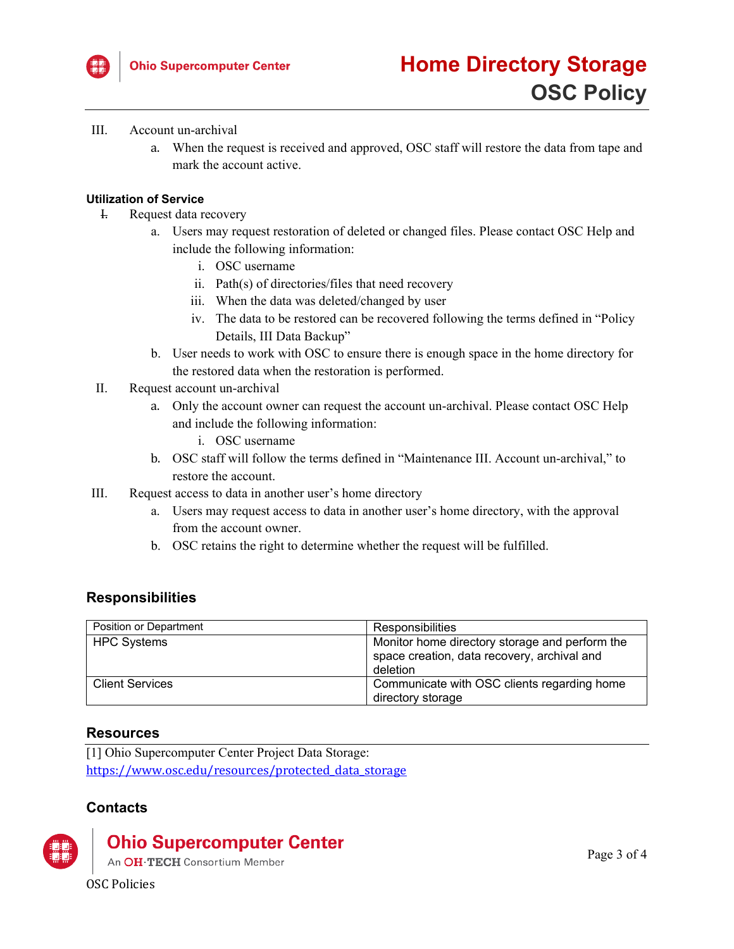

#### III. Account un-archival

a. When the request is received and approved, OSC staff will restore the data from tape and mark the account active.

#### **Utilization of Service**

- I. Request data recovery
	- a. Users may request restoration of deleted or changed files. Please contact OSC Help and include the following information:
		- i. OSC username
		- ii. Path(s) of directories/files that need recovery
		- iii. When the data was deleted/changed by user
		- iv. The data to be restored can be recovered following the terms defined in "Policy Details, III Data Backup"
	- b. User needs to work with OSC to ensure there is enough space in the home directory for the restored data when the restoration is performed.
- II. Request account un-archival
	- a. Only the account owner can request the account un-archival. Please contact OSC Help and include the following information:
		- i. OSC username
	- b. OSC staff will follow the terms defined in "Maintenance III. Account un-archival," to restore the account.
- III. Request access to data in another user's home directory
	- a. Users may request access to data in another user's home directory, with the approval from the account owner.
	- b. OSC retains the right to determine whether the request will be fulfilled.

# **Responsibilities**

| Position or Department | Responsibilities                                                                                          |
|------------------------|-----------------------------------------------------------------------------------------------------------|
| <b>HPC Systems</b>     | Monitor home directory storage and perform the<br>space creation, data recovery, archival and<br>deletion |
| <b>Client Services</b> | Communicate with OSC clients regarding home<br>directory storage                                          |

## **Resources**

[1] Ohio Supercomputer Center Project Data Storage: [https://www.osc.edu/resources/protected\\_data\\_storage](https://www.osc.edu/resources/protected_data_storage)

## **Contacts**



# **Ohio Supercomputer Center**

An OH·TECH Consortium Member

OSC Policies